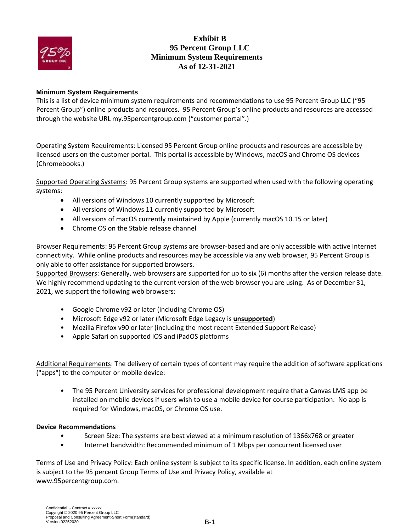

## **Exhibit B 95 Percent Group LLC Minimum System Requirements As of 12-31-2021**

## **Minimum System Requirements**

This is a list of device minimum system requirements and recommendations to use 95 Percent Group LLC ("95 Percent Group") online products and resources. 95 Percent Group's online products and resources are accessed through the website URL my.95percentgroup.com ("customer portal".)

Operating System Requirements: Licensed 95 Percent Group online products and resources are accessible by licensed users on the customer portal. This portal is accessible by Windows, macOS and Chrome OS devices (Chromebooks.)

Supported Operating Systems: 95 Percent Group systems are supported when used with the following operating systems:

- All versions of Windows 10 currently supported by Microsoft
- All versions of Windows 11 currently supported by Microsoft
- All versions of macOS currently maintained by Apple (currently macOS 10.15 or later)
- Chrome OS on the Stable release channel

Browser Requirements: 95 Percent Group systems are browser-based and are only accessible with active Internet connectivity. While online products and resources may be accessible via any web browser, 95 Percent Group is only able to offer assistance for supported browsers.

Supported Browsers: Generally, web browsers are supported for up to six (6) months after the version release date. We highly recommend updating to the current version of the web browser you are using. As of December 31, 2021, we support the following web browsers:

- Google Chrome v92 or later (including Chrome OS)
- Microsoft Edge v92 or later (Microsoft Edge Legacy is **unsupported**)
- Mozilla Firefox v90 or later (including the most recent Extended Support Release)
- Apple Safari on supported iOS and iPadOS platforms

Additional Requirements: The delivery of certain types of content may require the addition of software applications ("apps") to the computer or mobile device:

• The 95 Percent University services for professional development require that a Canvas LMS app be installed on mobile devices if users wish to use a mobile device for course participation. No app is required for Windows, macOS, or Chrome OS use.

## **Device Recommendations**

- Screen Size: The systems are best viewed at a minimum resolution of 1366x768 or greater
- Internet bandwidth: Recommended minimum of 1 Mbps per concurrent licensed user

Terms of Use and Privacy Policy: Each online system is subject to its specific license. In addition, each online system is subject to the 95 percent Group Terms of Use and Privacy Policy, available at www.95percentgroup.com.